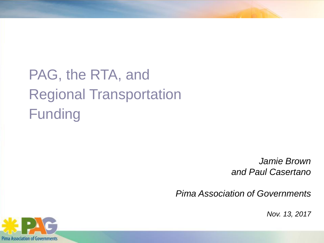# PAG, the RTA, and Regional Transportation Funding

*Jamie Brown and Paul Casertano*

*Pima Association of Governments*

*Nov. 13, 2017*

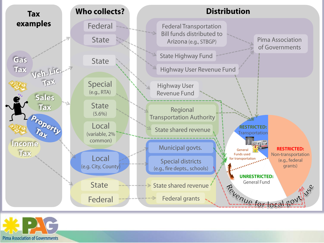

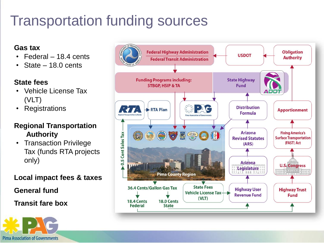## Transportation funding sources

#### **Gas tax**

- Federal 18.4 cents
- State 18.0 cents

#### **State fees**

- Vehicle License Tax (VLT)
- Registrations

#### **Regional Transportation Authority**

• Transaction Privilege Tax (funds RTA projects only)

**Local impact fees & taxes**

**General fund**

**Transit fare box**



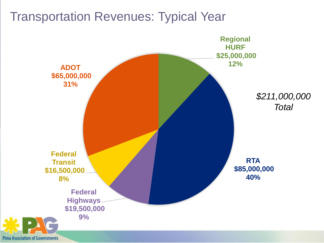#### Transportation Revenues: Typical Year

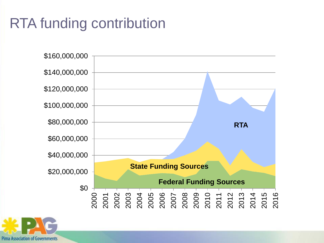### RTA funding contribution



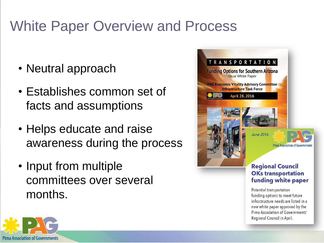### White Paper Overview and Process

- Neutral approach
- Establishes common set of facts and assumptions
- Helps educate and raise awareness during the process
- Input from multiple committees over several months.



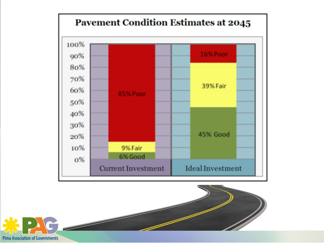



**Pima Association of Governments**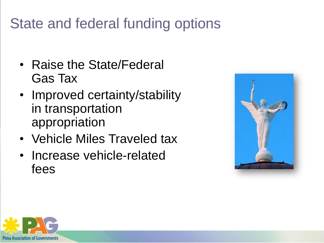### State and federal funding options

- Raise the State/Federal Gas Tax
- Improved certainty/stability in transportation appropriation
- Vehicle Miles Traveled tax
- Increase vehicle-related fees



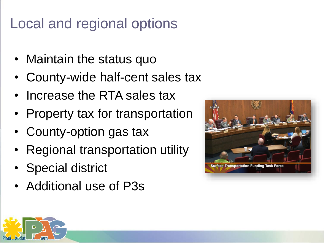### Local and regional options

- Maintain the status quo
- County-wide half-cent sales tax
- Increase the RTA sales tax
- Property tax for transportation
- County-option gas tax
- Regional transportation utility
- Special district
- Additional use of P3s